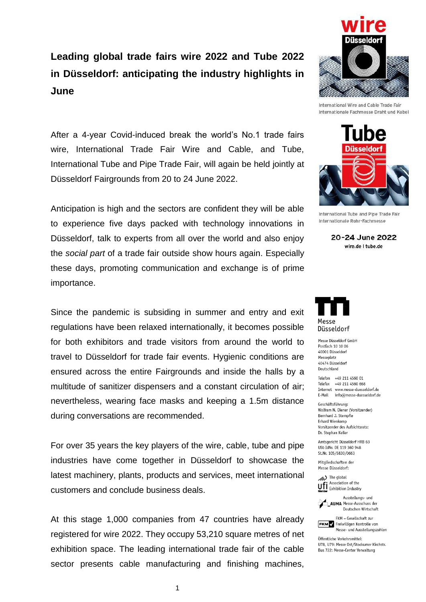## **Leading global trade fairs wire 2022 and Tube 2022 in Düsseldorf: anticipating the industry highlights in June**

After a 4-year Covid-induced break the world's No.1 trade fairs wire, International Trade Fair Wire and Cable, and Tube, International Tube and Pipe Trade Fair, will again be held jointly at Düsseldorf Fairgrounds from 20 to 24 June 2022.

Anticipation is high and the sectors are confident they will be able to experience five days packed with technology innovations in Düsseldorf, talk to experts from all over the world and also enjoy the *social part* of a trade fair outside show hours again. Especially these days, promoting communication and exchange is of prime importance.

Since the pandemic is subsiding in summer and entry and exit regulations have been relaxed internationally, it becomes possible for both exhibitors and trade visitors from around the world to travel to Düsseldorf for trade fair events. Hygienic conditions are ensured across the entire Fairgrounds and inside the halls by a multitude of sanitizer dispensers and a constant circulation of air; nevertheless, wearing face masks and keeping a 1.5m distance during conversations are recommended.

For over 35 years the key players of the wire, cable, tube and pipe industries have come together in Düsseldorf to showcase the latest machinery, plants, products and services, meet international customers and conclude business deals.

At this stage 1,000 companies from 47 countries have already registered for wire 2022. They occupy 53,210 square metres of net exhibition space. The leading international trade fair of the cable sector presents cable manufacturing and finishing machines,



International Wire and Cable Trade Fair Internationale Fachmesse Draht und Kabel



International Tube and Pipe Trade Fair Internationale Rohr-Fachmesse

20-24 June 2022 wire.de I tube.de



Messe Düsseldorf GmbH Postfach 10 10 06 40001 Düsseldorf Messeplatz 40474 Düsseldorf Deutschland

Telefon +49 211 4560 01 Telefax +49 211 4560 668 Internet www.messe-duesseldorf.de E-Mail info@messe-duesseldorf.de

Geschäftsführung: Wolfram N. Diener (Vorsitzender) Bernhard J. Stempfle Erhard Wienkamp Vorsitzender des Aufsichtsrats: Dr. Stephan Keller

Amtsgericht Düsseldorf HRB 63 USt-IdNr. DE 119 360 948 St.Nr. 105/5830/0663

Mitgliedschaften der Messe Diisseldorf:

The global Association of the **Ufi** Association of the<br>**Momber** Exhibition Industry



FKM - Gesellschaft zur **FKM** Freiwilligen Kontrolle von Messe- und Ausstellungszahlen

Öffentliche Verkehrsmittel: U78, U79: Messe Ost/Stockumer Kirchstr. Bus 722: Messe-Center Verwaltung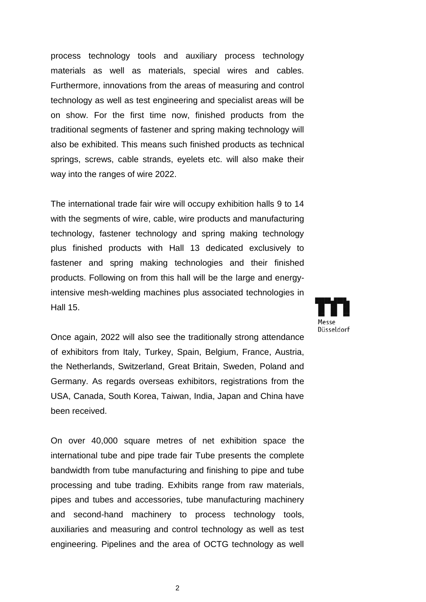process technology tools and auxiliary process technology materials as well as materials, special wires and cables. Furthermore, innovations from the areas of measuring and control technology as well as test engineering and specialist areas will be on show. For the first time now, finished products from the traditional segments of fastener and spring making technology will also be exhibited. This means such finished products as technical springs, screws, cable strands, eyelets etc. will also make their way into the ranges of wire 2022.

The international trade fair wire will occupy exhibition halls 9 to 14 with the segments of wire, cable, wire products and manufacturing technology, fastener technology and spring making technology plus finished products with Hall 13 dedicated exclusively to fastener and spring making technologies and their finished products. Following on from this hall will be the large and energyintensive mesh-welding machines plus associated technologies in Hall 15.

Once again, 2022 will also see the traditionally strong attendance of exhibitors from Italy, Turkey, Spain, Belgium, France, Austria, the Netherlands, Switzerland, Great Britain, Sweden, Poland and Germany. As regards overseas exhibitors, registrations from the USA, Canada, South Korea, Taiwan, India, Japan and China have been received.

On over 40,000 square metres of net exhibition space the international tube and pipe trade fair Tube presents the complete bandwidth from tube manufacturing and finishing to pipe and tube processing and tube trading. Exhibits range from raw materials, pipes and tubes and accessories, tube manufacturing machinery and second-hand machinery to process technology tools, auxiliaries and measuring and control technology as well as test engineering. Pipelines and the area of OCTG technology as well

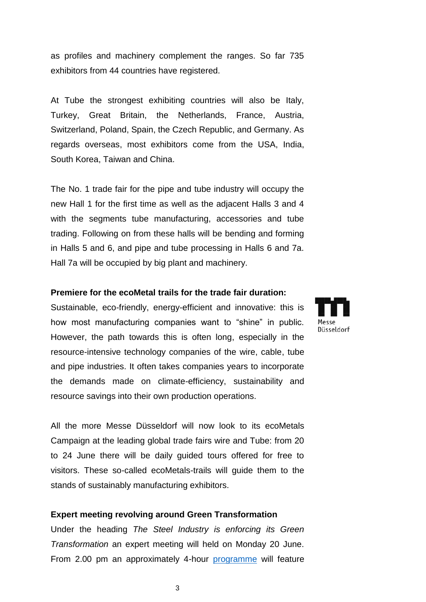as profiles and machinery complement the ranges. So far 735 exhibitors from 44 countries have registered.

At Tube the strongest exhibiting countries will also be Italy, Turkey, Great Britain, the Netherlands, France, Austria, Switzerland, Poland, Spain, the Czech Republic, and Germany. As regards overseas, most exhibitors come from the USA, India, South Korea, Taiwan and China.

The No. 1 trade fair for the pipe and tube industry will occupy the new Hall 1 for the first time as well as the adjacent Halls 3 and 4 with the segments tube manufacturing, accessories and tube trading. Following on from these halls will be bending and forming in Halls 5 and 6, and pipe and tube processing in Halls 6 and 7a. Hall 7a will be occupied by big plant and machinery.

## **Premiere for the ecoMetal trails for the trade fair duration:**

Sustainable, eco-friendly, energy-efficient and innovative: this is how most manufacturing companies want to "shine" in public. However, the path towards this is often long, especially in the resource-intensive technology companies of the wire, cable, tube and pipe industries. It often takes companies years to incorporate the demands made on climate-efficiency, sustainability and resource savings into their own production operations.

All the more Messe Düsseldorf will now look to its ecoMetals Campaign at the leading global trade fairs wire and Tube: from 20 to 24 June there will be daily guided tours offered for free to visitors. These so-called ecoMetals-trails will guide them to the stands of sustainably manufacturing exhibitors.

## **Expert meeting revolving around Green Transformation**

Under the heading *The Steel Industry is enforcing its Green Transformation* an expert meeting will held on Monday 20 June. From 2.00 pm an approximately 4-hour [programme](http://www.stahl-kommunikation.de/Veranstaltungen) will feature